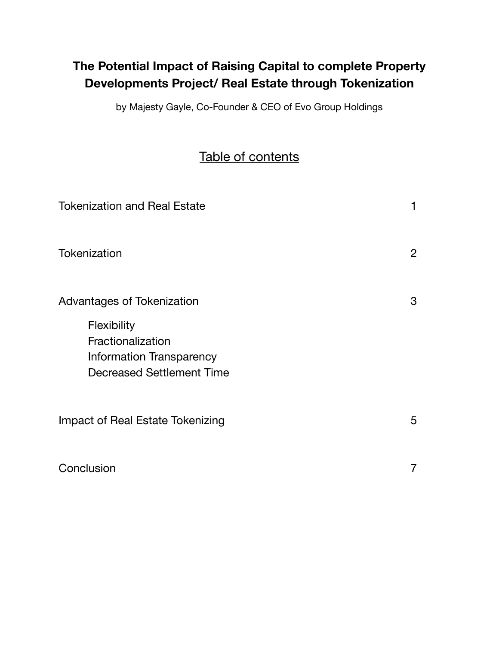# **The Potential Impact of Raising Capital to complete Property Developments Project/ Real Estate through Tokenization**

by Majesty Gayle, Co-Founder & CEO of Evo Group Holdings

# Table of contents

| <b>Tokenization and Real Estate</b>                                                              | 1                         |
|--------------------------------------------------------------------------------------------------|---------------------------|
| Tokenization                                                                                     | $\mathbf{2}^{\mathsf{I}}$ |
| Advantages of Tokenization                                                                       | 3                         |
| Flexibility<br>Fractionalization<br>Information Transparency<br><b>Decreased Settlement Time</b> |                           |
| Impact of Real Estate Tokenizing                                                                 | 5                         |
| Conclusion                                                                                       | 7                         |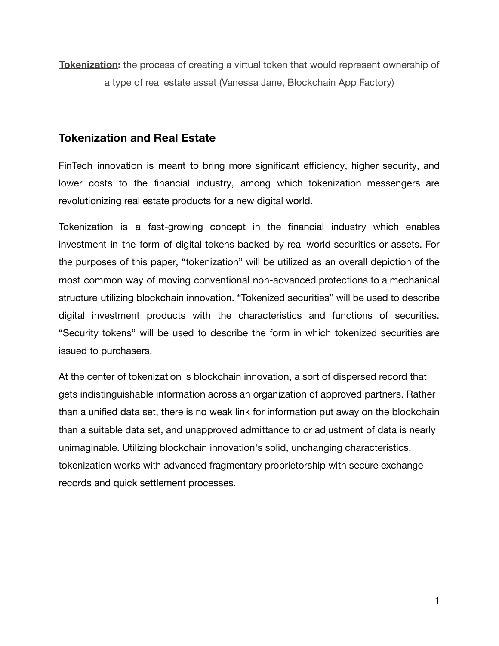**Tokenization:** the process of creating a virtual token that would represent ownership of a type of real estate asset (Vanessa Jane, Blockchain App Factory)

## **Tokenization and Real Estate**

FinTech innovation is meant to bring more significant efficiency, higher security, and lower costs to the financial industry, among which tokenization messengers are revolutionizing real estate products for a new digital world.

Tokenization is a fast-growing concept in the financial industry which enables investment in the form of digital tokens backed by real world securities or assets. For the purposes of this paper, "tokenization" will be utilized as an overall depiction of the most common way of moving conventional non-advanced protections to a mechanical structure utilizing blockchain innovation. "Tokenized securities" will be used to describe digital investment products with the characteristics and functions of securities. "Security tokens" will be used to describe the form in which tokenized securities are issued to purchasers.

At the center of tokenization is blockchain innovation, a sort of dispersed record that gets indistinguishable information across an organization of approved partners. Rather than a unified data set, there is no weak link for information put away on the blockchain than a suitable data set, and unapproved admittance to or adjustment of data is nearly unimaginable. Utilizing blockchain innovation's solid, unchanging characteristics, tokenization works with advanced fragmentary proprietorship with secure exchange records and quick settlement processes.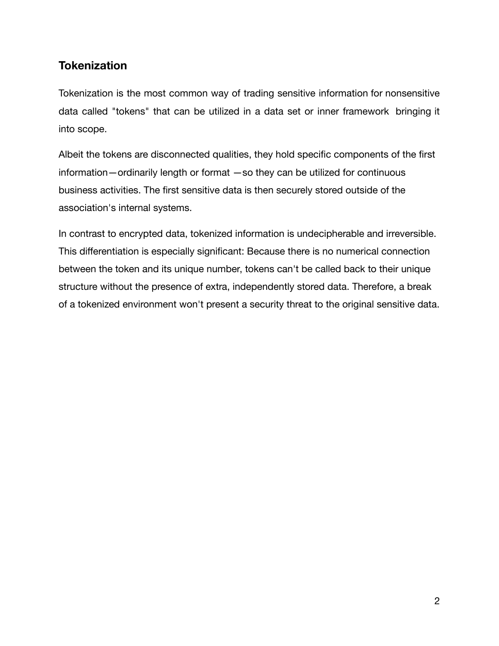## **Tokenization**

Tokenization is the most common way of trading sensitive information for nonsensitive data called "tokens" that can be utilized in a data set or inner framework bringing it into scope.

Albeit the tokens are disconnected qualities, they hold specific components of the first information—ordinarily length or format —so they can be utilized for continuous business activities. The first sensitive data is then securely stored outside of the association's internal systems.

In contrast to encrypted data, tokenized information is undecipherable and irreversible. This differentiation is especially significant: Because there is no numerical connection between the token and its unique number, tokens can't be called back to their unique structure without the presence of extra, independently stored data. Therefore, a break of a tokenized environment won't present a security threat to the original sensitive data.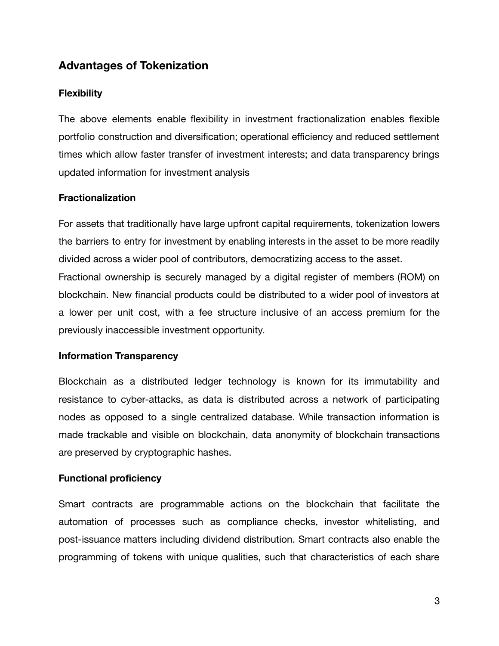## **Advantages of Tokenization**

#### **Flexibility**

The above elements enable flexibility in investment fractionalization enables flexible portfolio construction and diversification; operational efficiency and reduced settlement times which allow faster transfer of investment interests; and data transparency brings updated information for investment analysis

#### **Fractionalization**

For assets that traditionally have large upfront capital requirements, tokenization lowers the barriers to entry for investment by enabling interests in the asset to be more readily divided across a wider pool of contributors, democratizing access to the asset. Fractional ownership is securely managed by a digital register of members (ROM) on blockchain. New financial products could be distributed to a wider pool of investors at a lower per unit cost, with a fee structure inclusive of an access premium for the previously inaccessible investment opportunity.

#### **Information Transparency**

Blockchain as a distributed ledger technology is known for its immutability and resistance to cyber-attacks, as data is distributed across a network of participating nodes as opposed to a single centralized database. While transaction information is made trackable and visible on blockchain, data anonymity of blockchain transactions are preserved by cryptographic hashes.

#### **Functional proficiency**

Smart contracts are programmable actions on the blockchain that facilitate the automation of processes such as compliance checks, investor whitelisting, and post-issuance matters including dividend distribution. Smart contracts also enable the programming of tokens with unique qualities, such that characteristics of each share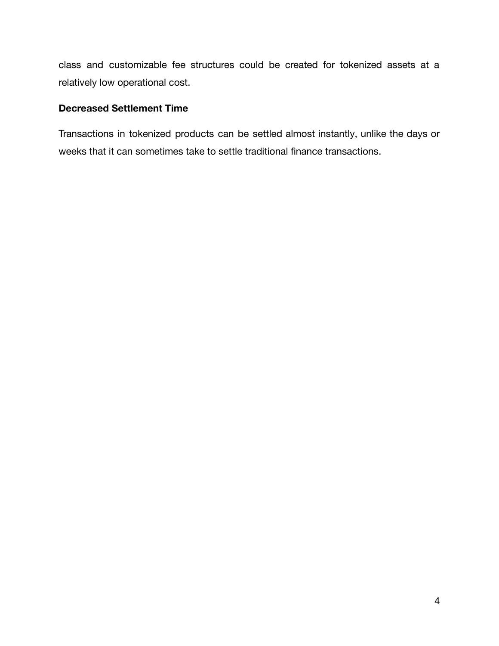class and customizable fee structures could be created for tokenized assets at a relatively low operational cost.

#### **Decreased Settlement Time**

Transactions in tokenized products can be settled almost instantly, unlike the days or weeks that it can sometimes take to settle traditional finance transactions.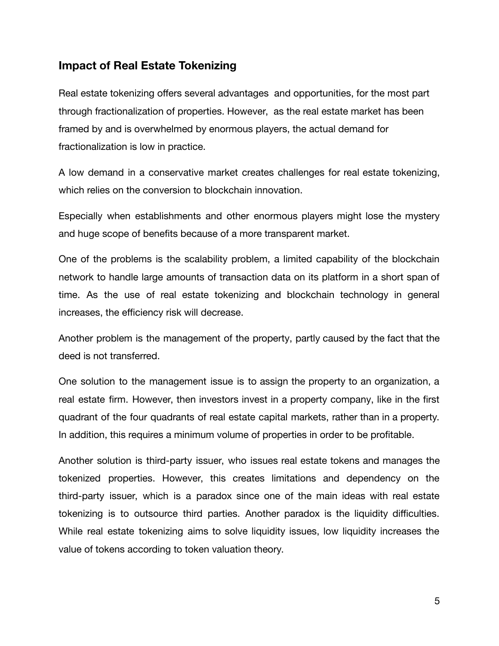### **Impact of Real Estate Tokenizing**

Real estate tokenizing offers several advantages and opportunities, for the most part through fractionalization of properties. However, as the real estate market has been framed by and is overwhelmed by enormous players, the actual demand for fractionalization is low in practice.

A low demand in a conservative market creates challenges for real estate tokenizing, which relies on the conversion to blockchain innovation.

Especially when establishments and other enormous players might lose the mystery and huge scope of benefits because of a more transparent market.

One of the problems is the scalability problem, a limited capability of the blockchain network to handle large amounts of transaction data on its platform in a short span of time. As the use of real estate tokenizing and blockchain technology in general increases, the efficiency risk will decrease.

Another problem is the management of the property, partly caused by the fact that the deed is not transferred.

One solution to the management issue is to assign the property to an organization, a real estate firm. However, then investors invest in a property company, like in the first quadrant of the four quadrants of real estate capital markets, rather than in a property. In addition, this requires a minimum volume of properties in order to be profitable.

Another solution is third-party issuer, who issues real estate tokens and manages the tokenized properties. However, this creates limitations and dependency on the third-party issuer, which is a paradox since one of the main ideas with real estate tokenizing is to outsource third parties. Another paradox is the liquidity difficulties. While real estate tokenizing aims to solve liquidity issues, low liquidity increases the value of tokens according to token valuation theory.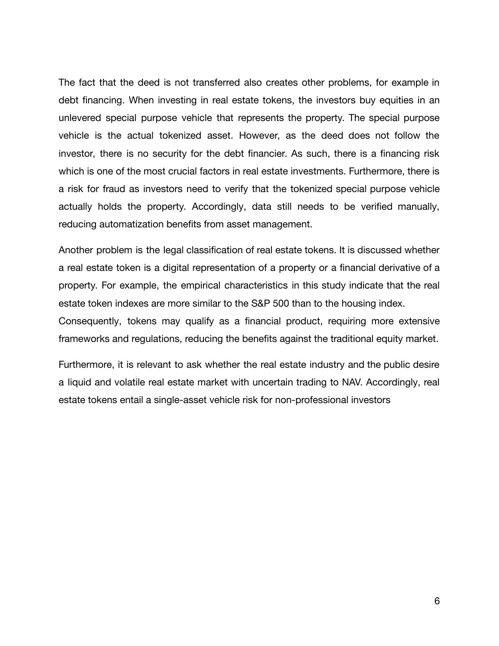The fact that the deed is not transferred also creates other problems, for example in debt financing. When investing in real estate tokens, the investors buy equities in an unlevered special purpose vehicle that represents the property. The special purpose vehicle is the actual tokenized asset. However, as the deed does not follow the investor, there is no security for the debt financier. As such, there is a financing risk which is one of the most crucial factors in real estate investments. Furthermore, there is a risk for fraud as investors need to verify that the tokenized special purpose vehicle actually holds the property. Accordingly, data still needs to be verified manually, reducing automatization benefits from asset management.

Another problem is the legal classification of real estate tokens. It is discussed whether a real estate token is a digital representation of a property or a financial derivative of a property. For example, the empirical characteristics in this study indicate that the real estate token indexes are more similar to the S&P 500 than to the housing index.

Consequently, tokens may qualify as a financial product, requiring more extensive frameworks and regulations, reducing the benefits against the traditional equity market.

Furthermore, it is relevant to ask whether the real estate industry and the public desire a liquid and volatile real estate market with uncertain trading to NAV. Accordingly, real estate tokens entail a single-asset vehicle risk for non-professional investors